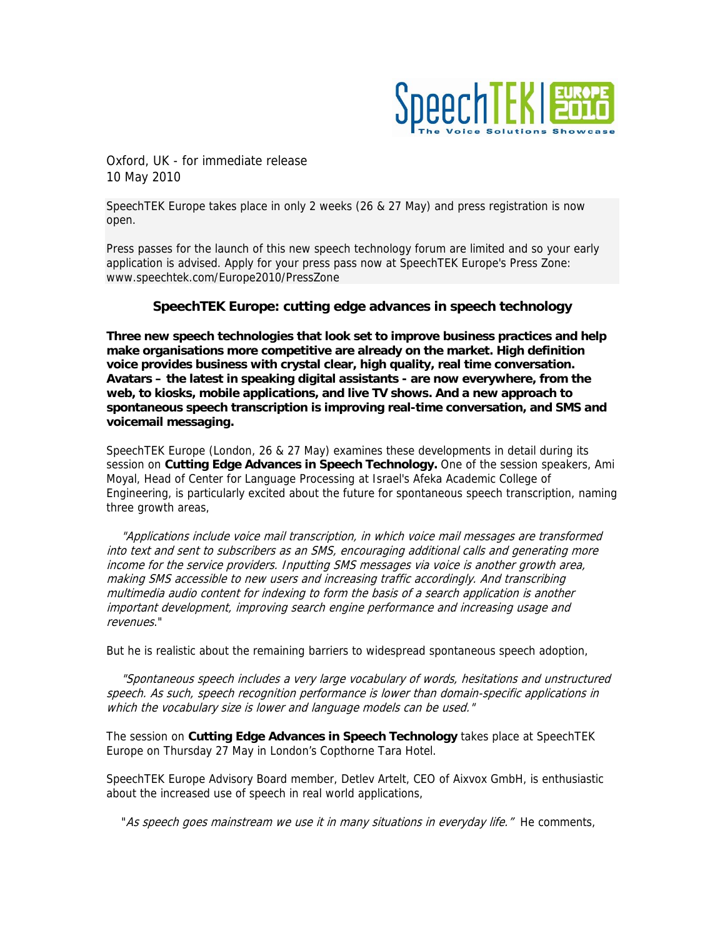

Oxford, UK - for immediate release 10 May 2010

SpeechTEK Europe takes place in only 2 weeks (26 & 27 May) and press registration is now open.

Press passes for the launch of this new speech technology forum are limited and so your early application is advised. Apply for your press pass now at SpeechTEK Europe's Press Zone: www.speechtek.com/Europe2010/PressZone

## **SpeechTEK Europe: cutting edge advances in speech technology**

**Three new speech technologies that look set to improve business practices and help make organisations more competitive are already on the market. High definition voice provides business with crystal clear, high quality, real time conversation. Avatars – the latest in speaking digital assistants - are now everywhere, from the web, to kiosks, mobile applications, and live TV shows. And a new approach to spontaneous speech transcription is improving real-time conversation, and SMS and voicemail messaging.** 

SpeechTEK Europe (London, 26 & 27 May) examines these developments in detail during its session on **Cutting Edge Advances in Speech Technology.** One of the session speakers, Ami Moyal, Head of Center for Language Processing at Israel's Afeka Academic College of Engineering, is particularly excited about the future for spontaneous speech transcription, naming three growth areas,

 "Applications include voice mail transcription, in which voice mail messages are transformed into text and sent to subscribers as an SMS, encouraging additional calls and generating more income for the service providers. Inputting SMS messages via voice is another growth area, making SMS accessible to new users and increasing traffic accordingly. And transcribing multimedia audio content for indexing to form the basis of a search application is another important development, improving search engine performance and increasing usage and revenues."

But he is realistic about the remaining barriers to widespread spontaneous speech adoption,

 "Spontaneous speech includes a very large vocabulary of words, hesitations and unstructured speech. As such, speech recognition performance is lower than domain-specific applications in which the vocabulary size is lower and language models can be used."

The session on **Cutting Edge Advances in Speech Technology** takes place at SpeechTEK Europe on Thursday 27 May in London's Copthorne Tara Hotel.

SpeechTEK Europe Advisory Board member, Detlev Artelt, CEO of Aixvox GmbH, is enthusiastic about the increased use of speech in real world applications,

"As speech goes mainstream we use it in many situations in everyday life." He comments,